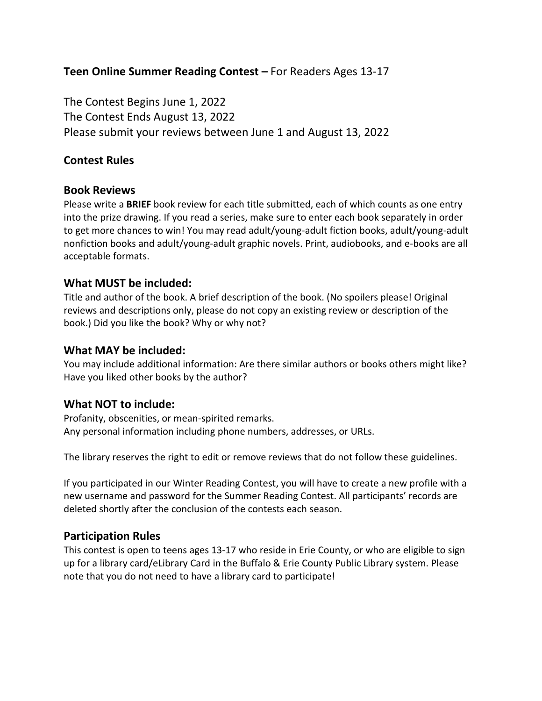# **Teen Online Summer Reading Contest –** For Readers Ages 13-17

The Contest Begins June 1, 2022 The Contest Ends August 13, 2022 Please submit your reviews between June 1 and August 13, 2022

## **Contest Rules**

### **Book Reviews**

Please write a **BRIEF** book review for each title submitted, each of which counts as one entry into the prize drawing. If you read a series, make sure to enter each book separately in order to get more chances to win! You may read adult/young-adult fiction books, adult/young-adult nonfiction books and adult/young-adult graphic novels. Print, audiobooks, and e-books are all acceptable formats.

## **What MUST be included:**

Title and author of the book. A brief description of the book. (No spoilers please! Original reviews and descriptions only, please do not copy an existing review or description of the book.) Did you like the book? Why or why not?

### **What MAY be included:**

You may include additional information: Are there similar authors or books others might like? Have you liked other books by the author?

## **What NOT to include:**

Profanity, obscenities, or mean-spirited remarks. Any personal information including phone numbers, addresses, or URLs.

The library reserves the right to edit or remove reviews that do not follow these guidelines.

If you participated in our Winter Reading Contest, you will have to create a new profile with a new username and password for the Summer Reading Contest. All participants' records are deleted shortly after the conclusion of the contests each season.

## **Participation Rules**

This contest is open to teens ages 13-17 who reside in Erie County, or who are eligible to sign up for a library card/eLibrary Card in the Buffalo & Erie County Public Library system. Please note that you do not need to have a library card to participate!